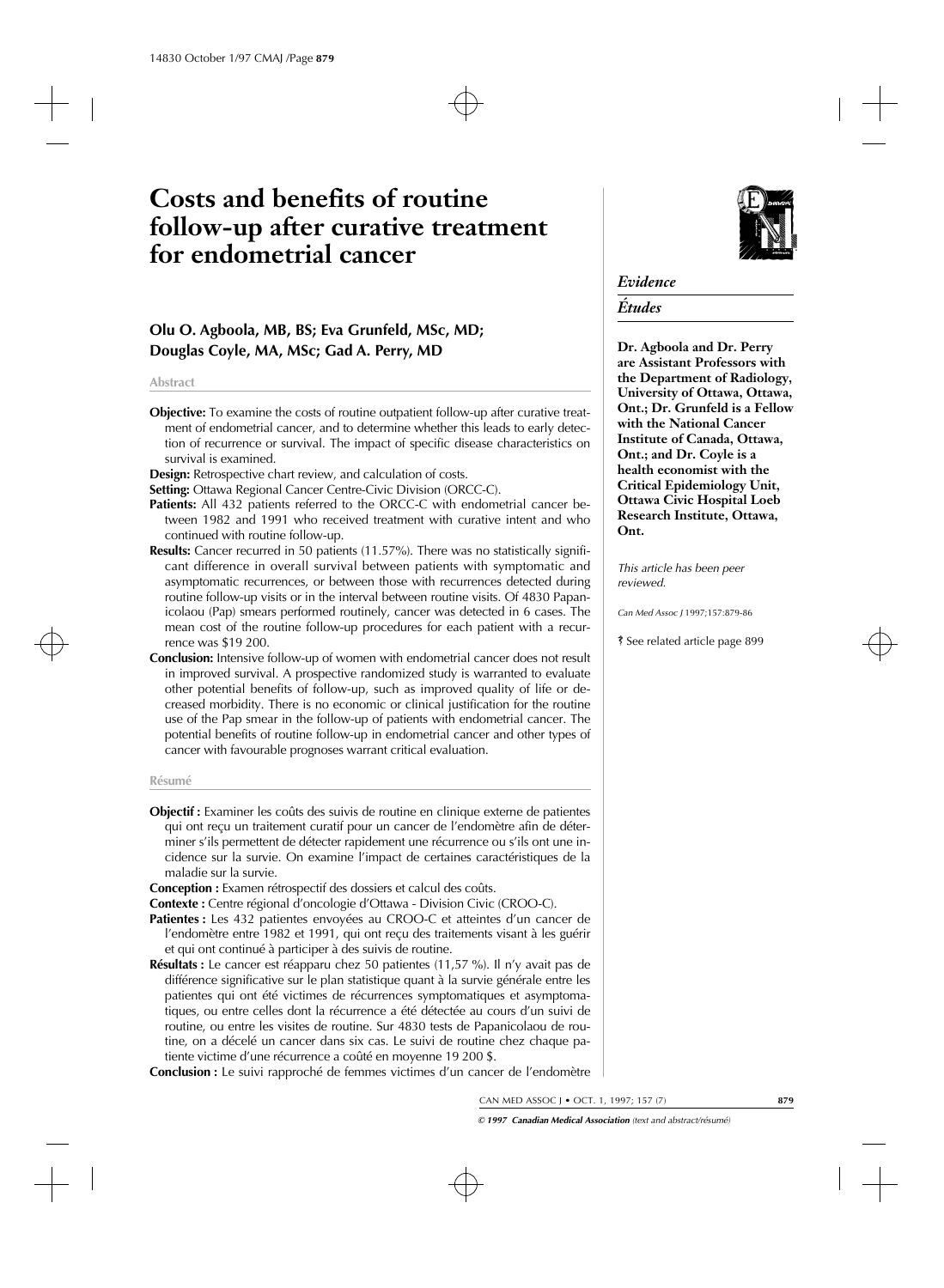# **Costs and benefits of routine follow-up after curative treatment for endometrial cancer**

# **Olu O. Agboola, MB, BS; Eva Grunfeld, MSc, MD; Douglas Coyle, MA, MSc; Gad A. Perry, MD**

#### **Abstract**

**Objective:** To examine the costs of routine outpatient follow-up after curative treatment of endometrial cancer, and to determine whether this leads to early detection of recurrence or survival. The impact of specific disease characteristics on survival is examined.

**Design:** Retrospective chart review, and calculation of costs.

**Setting:** Ottawa Regional Cancer Centre-Civic Division (ORCC-C).

- **Patients:** All 432 patients referred to the ORCC-C with endometrial cancer between 1982 and 1991 who received treatment with curative intent and who continued with routine follow-up.
- **Results:** Cancer recurred in 50 patients (11.57%). There was no statistically significant difference in overall survival between patients with symptomatic and asymptomatic recurrences, or between those with recurrences detected during routine follow-up visits or in the interval between routine visits. Of 4830 Papanicolaou (Pap) smears performed routinely, cancer was detected in 6 cases. The mean cost of the routine follow-up procedures for each patient with a recurrence was \$19 200.
- **Conclusion:** Intensive follow-up of women with endometrial cancer does not result in improved survival. A prospective randomized study is warranted to evaluate other potential benefits of follow-up, such as improved quality of life or decreased morbidity. There is no economic or clinical justification for the routine use of the Pap smear in the follow-up of patients with endometrial cancer. The potential benefits of routine follow-up in endometrial cancer and other types of cancer with favourable prognoses warrant critical evaluation.

#### **Résumé**

- **Objectif :** Examiner les coûts des suivis de routine en clinique externe de patientes qui ont reçu un traitement curatif pour un cancer de l'endomètre afin de déterminer s'ils permettent de détecter rapidement une récurrence ou s'ils ont une incidence sur la survie. On examine l'impact de certaines caractéristiques de la maladie sur la survie.
- **Conception :** Examen rétrospectif des dossiers et calcul des coûts.

**Contexte :** Centre régional d'oncologie d'Ottawa - Division Civic (CROO-C).

- Patientes : Les 432 patientes envoyées au CROO-C et atteintes d'un cancer de l'endomètre entre 1982 et 1991, qui ont reçu des traitements visant à les guérir et qui ont continué à participer à des suivis de routine.
- **Résultats :** Le cancer est réapparu chez 50 patientes (11,57 %). Il n'y avait pas de différence significative sur le plan statistique quant à la survie générale entre les patientes qui ont été victimes de récurrences symptomatiques et asymptomatiques, ou entre celles dont la récurrence a été détectée au cours d'un suivi de routine, ou entre les visites de routine. Sur 4830 tests de Papanicolaou de routine, on a décelé un cancer dans six cas. Le suivi de routine chez chaque patiente victime d'une récurrence a coûté en moyenne 19 200 \$.

**Conclusion :** Le suivi rapproché de femmes victimes d'un cancer de l'endomètre



## *Evidence*

## *Études*

**Dr. Agboola and Dr. Perry are Assistant Professors with the Department of Radiology, University of Ottawa, Ottawa, Ont.; Dr. Grunfeld is a Fellow with the National Cancer Institute of Canada, Ottawa, Ont.; and Dr. Coyle is a health economist with the Critical Epidemiology Unit, Ottawa Civic Hospital Loeb Research Institute, Ottawa, Ont.**

*This article has been peer reviewed.*

*Can Med Assoc J* 1997;157:879-86

ß See related article page 899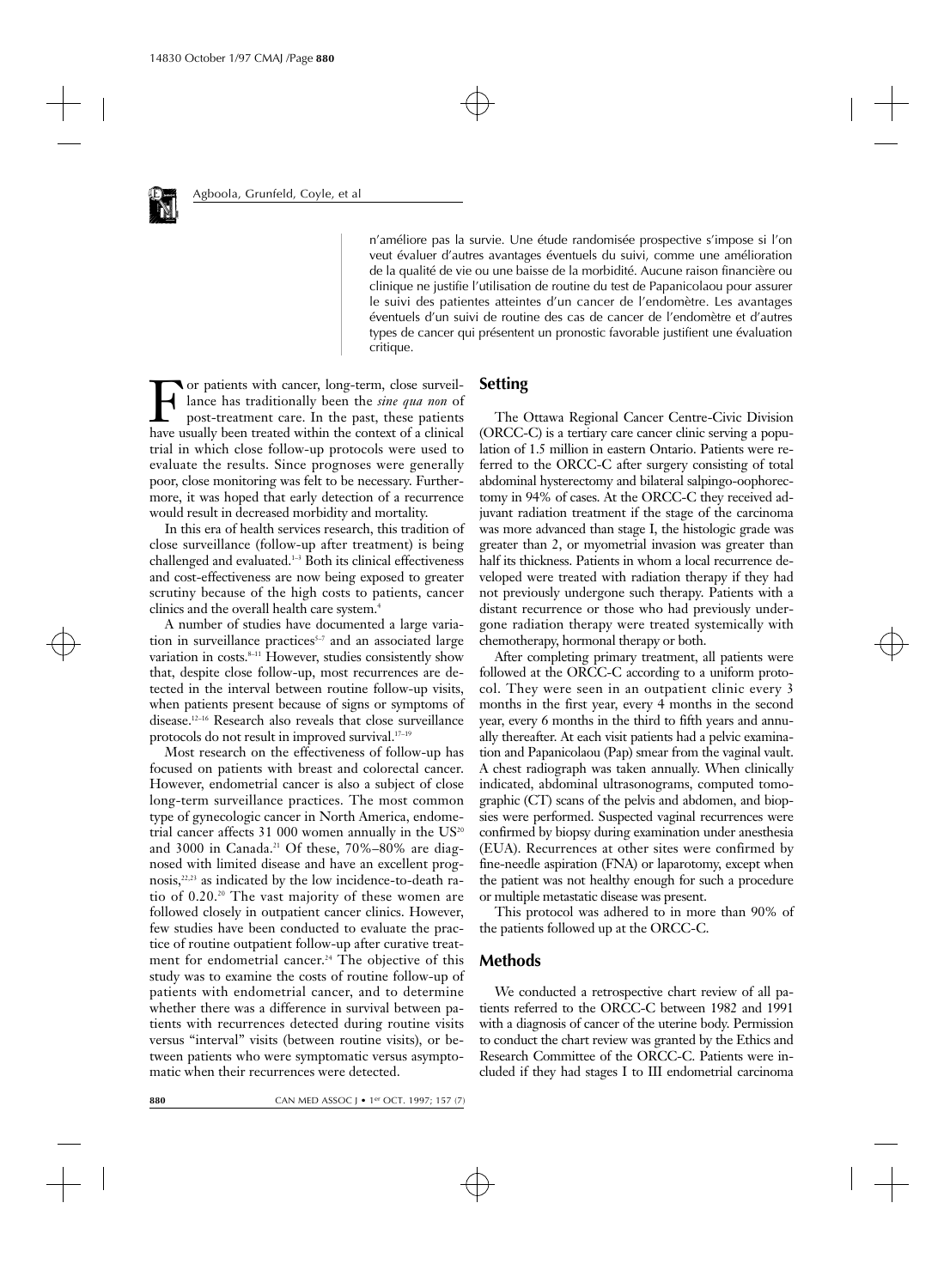n'améliore pas la survie. Une étude randomisée prospective s'impose si l'on veut évaluer d'autres avantages éventuels du suivi, comme une amélioration de la qualité de vie ou une baisse de la morbidité. Aucune raison financière ou clinique ne justifie l'utilisation de routine du test de Papanicolaou pour assurer le suivi des patientes atteintes d'un cancer de l'endomètre. Les avantages éventuels d'un suivi de routine des cas de cancer de l'endomètre et d'autres types de cancer qui présentent un pronostic favorable justifient une évaluation critique.

For patients with cancer, long-term, close surveillance has traditionally been the *sine qua non* of post-treatment care. In the past, these patients have usually been treated within the context of a clinical lance has traditionally been the *sine qua non* of post-treatment care. In the past, these patients have usually been treated within the context of a clinical trial in which close follow-up protocols were used to evaluate the results. Since prognoses were generally poor, close monitoring was felt to be necessary. Furthermore, it was hoped that early detection of a recurrence would result in decreased morbidity and mortality.

In this era of health services research, this tradition of close surveillance (follow-up after treatment) is being challenged and evaluated.<sup>1-3</sup> Both its clinical effectiveness and cost-effectiveness are now being exposed to greater scrutiny because of the high costs to patients, cancer clinics and the overall health care system.4

A number of studies have documented a large variation in surveillance practices $5-7$  and an associated large variation in costs.<sup>8-11</sup> However, studies consistently show that, despite close follow-up, most recurrences are detected in the interval between routine follow-up visits, when patients present because of signs or symptoms of disease.12–16 Research also reveals that close surveillance protocols do not result in improved survival.<sup>17-19</sup>

Most research on the effectiveness of follow-up has focused on patients with breast and colorectal cancer. However, endometrial cancer is also a subject of close long-term surveillance practices. The most common type of gynecologic cancer in North America, endometrial cancer affects 31 000 women annually in the  $US<sup>20</sup>$ and 3000 in Canada.<sup>21</sup> Of these,  $70\% - 80\%$  are diagnosed with limited disease and have an excellent prognosis,22,23 as indicated by the low incidence-to-death ratio of 0.20.20 The vast majority of these women are followed closely in outpatient cancer clinics. However, few studies have been conducted to evaluate the practice of routine outpatient follow-up after curative treatment for endometrial cancer.<sup>24</sup> The objective of this study was to examine the costs of routine follow-up of patients with endometrial cancer, and to determine whether there was a difference in survival between patients with recurrences detected during routine visits versus "interval" visits (between routine visits), or between patients who were symptomatic versus asymptomatic when their recurrences were detected.

## **Setting**

The Ottawa Regional Cancer Centre-Civic Division (ORCC-C) is a tertiary care cancer clinic serving a population of 1.5 million in eastern Ontario. Patients were referred to the ORCC-C after surgery consisting of total abdominal hysterectomy and bilateral salpingo-oophorectomy in 94% of cases. At the ORCC-C they received adjuvant radiation treatment if the stage of the carcinoma was more advanced than stage I, the histologic grade was greater than 2, or myometrial invasion was greater than half its thickness. Patients in whom a local recurrence developed were treated with radiation therapy if they had not previously undergone such therapy. Patients with a distant recurrence or those who had previously undergone radiation therapy were treated systemically with chemotherapy, hormonal therapy or both.

After completing primary treatment, all patients were followed at the ORCC-C according to a uniform protocol. They were seen in an outpatient clinic every 3 months in the first year, every 4 months in the second year, every 6 months in the third to fifth years and annually thereafter. At each visit patients had a pelvic examination and Papanicolaou (Pap) smear from the vaginal vault. A chest radiograph was taken annually. When clinically indicated, abdominal ultrasonograms, computed tomographic (CT) scans of the pelvis and abdomen, and biopsies were performed. Suspected vaginal recurrences were confirmed by biopsy during examination under anesthesia (EUA). Recurrences at other sites were confirmed by fine-needle aspiration (FNA) or laparotomy, except when the patient was not healthy enough for such a procedure or multiple metastatic disease was present.

This protocol was adhered to in more than 90% of the patients followed up at the ORCC-C.

### **Methods**

We conducted a retrospective chart review of all patients referred to the ORCC-C between 1982 and 1991 with a diagnosis of cancer of the uterine body. Permission to conduct the chart review was granted by the Ethics and Research Committee of the ORCC-C. Patients were included if they had stages I to III endometrial carcinoma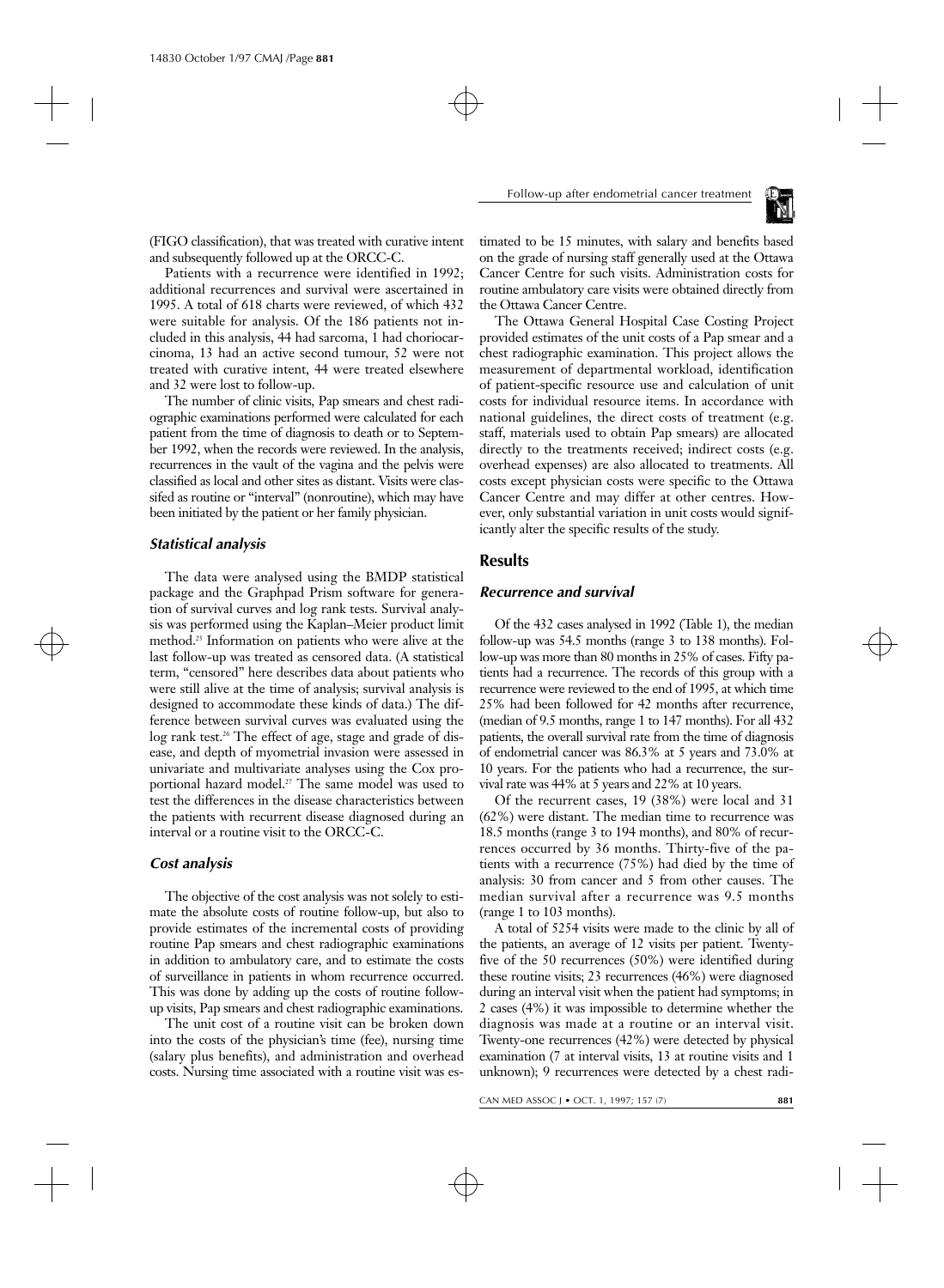

(FIGO classification), that was treated with curative intent and subsequently followed up at the ORCC-C.

Patients with a recurrence were identified in 1992; additional recurrences and survival were ascertained in 1995. A total of 618 charts were reviewed, of which 432 were suitable for analysis. Of the 186 patients not included in this analysis, 44 had sarcoma, 1 had choriocarcinoma, 13 had an active second tumour, 52 were not treated with curative intent, 44 were treated elsewhere and 32 were lost to follow-up.

The number of clinic visits, Pap smears and chest radiographic examinations performed were calculated for each patient from the time of diagnosis to death or to September 1992, when the records were reviewed. In the analysis, recurrences in the vault of the vagina and the pelvis were classified as local and other sites as distant. Visits were classifed as routine or "interval" (nonroutine), which may have been initiated by the patient or her family physician.

## *Statistical analysis*

The data were analysed using the BMDP statistical package and the Graphpad Prism software for generation of survival curves and log rank tests. Survival analysis was performed using the Kaplan–Meier product limit method.25 Information on patients who were alive at the last follow-up was treated as censored data. (A statistical term, "censored" here describes data about patients who were still alive at the time of analysis; survival analysis is designed to accommodate these kinds of data.) The difference between survival curves was evaluated using the log rank test.<sup>26</sup> The effect of age, stage and grade of disease, and depth of myometrial invasion were assessed in univariate and multivariate analyses using the Cox proportional hazard model.<sup>27</sup> The same model was used to test the differences in the disease characteristics between the patients with recurrent disease diagnosed during an interval or a routine visit to the ORCC-C.

#### *Cost analysis*

The objective of the cost analysis was not solely to estimate the absolute costs of routine follow-up, but also to provide estimates of the incremental costs of providing routine Pap smears and chest radiographic examinations in addition to ambulatory care, and to estimate the costs of surveillance in patients in whom recurrence occurred. This was done by adding up the costs of routine followup visits, Pap smears and chest radiographic examinations.

The unit cost of a routine visit can be broken down into the costs of the physician's time (fee), nursing time (salary plus benefits), and administration and overhead costs. Nursing time associated with a routine visit was es-

timated to be 15 minutes, with salary and benefits based on the grade of nursing staff generally used at the Ottawa Cancer Centre for such visits. Administration costs for routine ambulatory care visits were obtained directly from the Ottawa Cancer Centre.

The Ottawa General Hospital Case Costing Project provided estimates of the unit costs of a Pap smear and a chest radiographic examination. This project allows the measurement of departmental workload, identification of patient-specific resource use and calculation of unit costs for individual resource items. In accordance with national guidelines, the direct costs of treatment (e.g. staff, materials used to obtain Pap smears) are allocated directly to the treatments received; indirect costs (e.g. overhead expenses) are also allocated to treatments. All costs except physician costs were specific to the Ottawa Cancer Centre and may differ at other centres. However, only substantial variation in unit costs would significantly alter the specific results of the study.

#### **Results**

#### *Recurrence and survival*

Of the 432 cases analysed in 1992 (Table 1), the median follow-up was 54.5 months (range 3 to 138 months). Follow-up was more than 80 months in 25% of cases. Fifty patients had a recurrence. The records of this group with a recurrence were reviewed to the end of 1995, at which time 25% had been followed for 42 months after recurrence, (median of 9.5 months, range 1 to 147 months). For all 432 patients, the overall survival rate from the time of diagnosis of endometrial cancer was 86.3% at 5 years and 73.0% at 10 years. For the patients who had a recurrence, the survival rate was 44% at 5 years and 22% at 10 years.

Of the recurrent cases, 19 (38%) were local and 31 (62%) were distant. The median time to recurrence was 18.5 months (range 3 to 194 months), and 80% of recurrences occurred by 36 months. Thirty-five of the patients with a recurrence (75%) had died by the time of analysis: 30 from cancer and 5 from other causes. The median survival after a recurrence was 9.5 months (range 1 to 103 months).

A total of 5254 visits were made to the clinic by all of the patients, an average of 12 visits per patient. Twentyfive of the 50 recurrences (50%) were identified during these routine visits; 23 recurrences (46%) were diagnosed during an interval visit when the patient had symptoms; in 2 cases (4%) it was impossible to determine whether the diagnosis was made at a routine or an interval visit. Twenty-one recurrences (42%) were detected by physical examination (7 at interval visits, 13 at routine visits and 1 unknown); 9 recurrences were detected by a chest radi-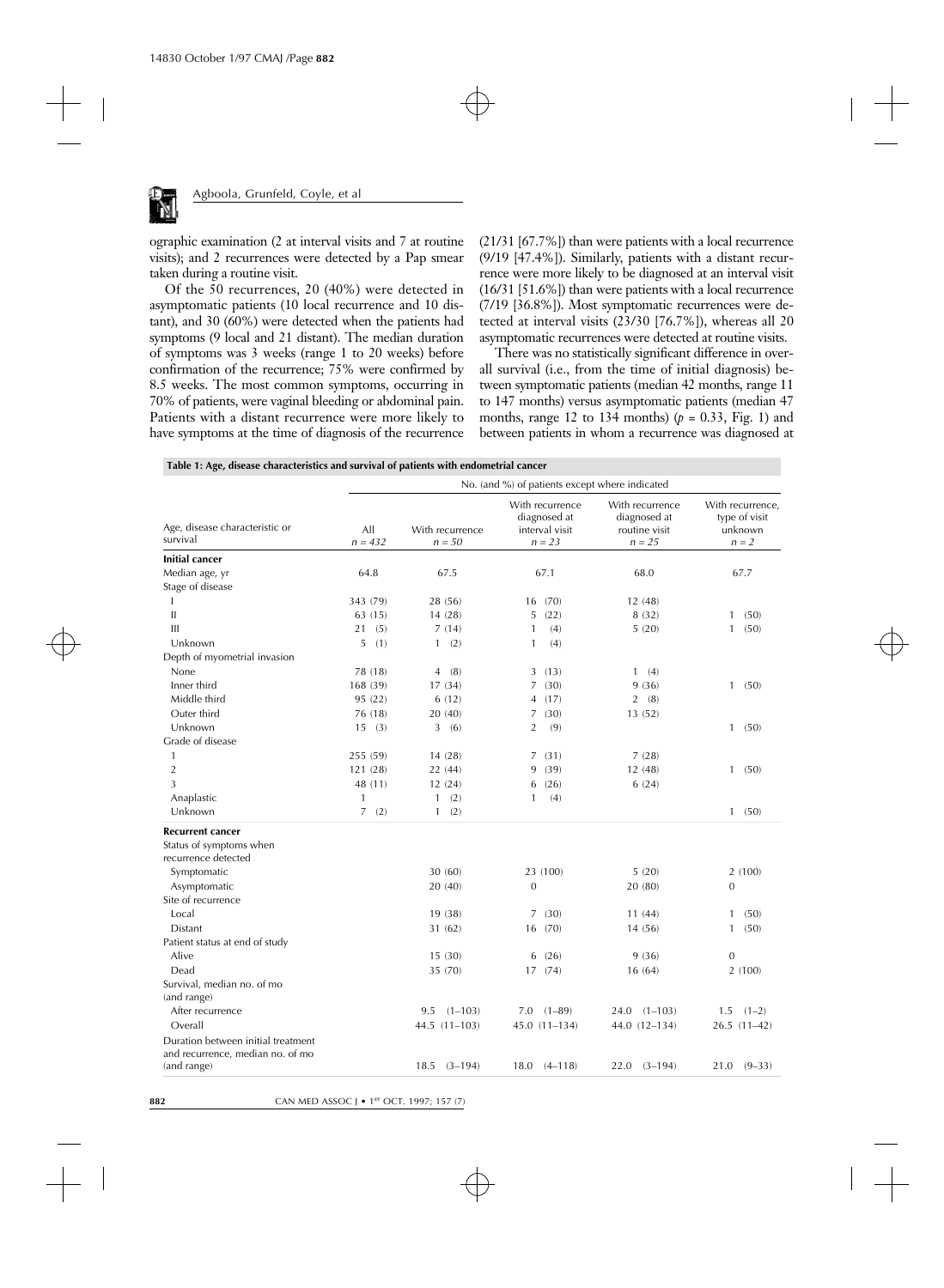

ographic examination (2 at interval visits and 7 at routine visits); and 2 recurrences were detected by a Pap smear taken during a routine visit.

Of the 50 recurrences, 20 (40%) were detected in asymptomatic patients (10 local recurrence and 10 distant), and 30 (60%) were detected when the patients had symptoms (9 local and 21 distant). The median duration of symptoms was 3 weeks (range 1 to 20 weeks) before confirmation of the recurrence; 75% were confirmed by 8.5 weeks. The most common symptoms, occurring in 70% of patients, were vaginal bleeding or abdominal pain. Patients with a distant recurrence were more likely to have symptoms at the time of diagnosis of the recurrence

(21/31 [67.7%]) than were patients with a local recurrence (9/19 [47.4%]). Similarly, patients with a distant recurrence were more likely to be diagnosed at an interval visit (16/31 [51.6%]) than were patients with a local recurrence (7/19 [36.8%]). Most symptomatic recurrences were detected at interval visits (23/30 [76.7%]), whereas all 20 asymptomatic recurrences were detected at routine visits.

There was no statistically significant difference in overall survival (i.e., from the time of initial diagnosis) between symptomatic patients (median 42 months, range 11 to 147 months) versus asymptomatic patients (median 47 months, range 12 to 134 months)  $(p = 0.33,$  Fig. 1) and between patients in whom a recurrence was diagnosed at

| Table 1: Age, disease characteristics and survival of patients with endometrial cancer |  |  |  |
|----------------------------------------------------------------------------------------|--|--|--|
|                                                                                        |  |  |  |

|                                                                        | No. (and %) of patients except where indicated |                             |                                                               |                                                              |                                                         |  |  |
|------------------------------------------------------------------------|------------------------------------------------|-----------------------------|---------------------------------------------------------------|--------------------------------------------------------------|---------------------------------------------------------|--|--|
| Age, disease characteristic or<br>survival                             | All<br>$n = 432$                               | With recurrence<br>$n = 50$ | With recurrence<br>diagnosed at<br>interval visit<br>$n = 23$ | With recurrence<br>diagnosed at<br>routine visit<br>$n = 25$ | With recurrence,<br>type of visit<br>unknown<br>$n = 2$ |  |  |
| <b>Initial cancer</b>                                                  |                                                |                             |                                                               |                                                              |                                                         |  |  |
| Median age, yr                                                         | 64.8                                           | 67.5                        | 67.1                                                          | 68.0                                                         | 67.7                                                    |  |  |
| Stage of disease                                                       |                                                |                             |                                                               |                                                              |                                                         |  |  |
|                                                                        | 343 (79)                                       | 28 (56)                     | (70)<br>16                                                    | 12(48)                                                       |                                                         |  |  |
| $\mathbf{II}$                                                          | 63 (15)                                        | 14 (28)                     | (22)<br>5                                                     | 8(32)                                                        | (50)<br>1                                               |  |  |
| III                                                                    | (5)<br>21                                      | 7(14)                       | (4)<br>1                                                      | 5(20)                                                        | (50)<br>1                                               |  |  |
| Unknown                                                                | (1)<br>5                                       | (2)<br>$\mathbf{1}$         | (4)<br>1                                                      |                                                              |                                                         |  |  |
| Depth of myometrial invasion                                           |                                                |                             |                                                               |                                                              |                                                         |  |  |
| None                                                                   | 78 (18)                                        | (8)<br>4                    | (13)<br>3                                                     | $\mathbf{1}$<br>(4)                                          |                                                         |  |  |
| Inner third                                                            | 168 (39)                                       | 17(34)                      | (30)<br>7                                                     | 9(36)                                                        | (50)<br>1                                               |  |  |
| Middle third                                                           | 95 (22)                                        | 6(12)                       | (17)<br>4                                                     | (8)<br>2                                                     |                                                         |  |  |
| Outer third                                                            | 76 (18)                                        | 20(40)                      | (30)<br>7                                                     | 13(52)                                                       |                                                         |  |  |
| Unknown                                                                | 15(3)                                          | 3(6)                        | $\overline{2}$<br>(9)                                         |                                                              | (50)<br>$\mathbf{1}$                                    |  |  |
| Grade of disease                                                       |                                                |                             |                                                               |                                                              |                                                         |  |  |
| 1                                                                      | 255 (59)                                       | 14(28)                      | (31)<br>7                                                     | 7(28)                                                        |                                                         |  |  |
| $\overline{2}$                                                         | 121 (28)                                       | 22 (44)                     | (39)<br>9                                                     | 12(48)                                                       | $\mathbf{1}$<br>(50)                                    |  |  |
| 3                                                                      | 48 (11)                                        | 12(24)                      | (26)<br>6                                                     | 6(24)                                                        |                                                         |  |  |
| Anaplastic                                                             | $\mathbf{1}$                                   | (2)<br>$\mathbf{1}$         | 1<br>(4)                                                      |                                                              |                                                         |  |  |
| Unknown                                                                | 7(2)                                           | (2)<br>$\mathbf{1}$         |                                                               |                                                              | (50)<br>$\mathbf{1}$                                    |  |  |
| <b>Recurrent cancer</b>                                                |                                                |                             |                                                               |                                                              |                                                         |  |  |
| Status of symptoms when<br>recurrence detected                         |                                                |                             |                                                               |                                                              |                                                         |  |  |
| Symptomatic                                                            |                                                | 30(60)                      | 23 (100)                                                      | 5(20)                                                        | 2(100)                                                  |  |  |
| Asymptomatic                                                           |                                                | 20(40)                      | $\theta$                                                      | 20 (80)                                                      | $\overline{0}$                                          |  |  |
| Site of recurrence                                                     |                                                |                             |                                                               |                                                              |                                                         |  |  |
| Local                                                                  |                                                | 19 (38)                     | (30)<br>7                                                     | 11(44)                                                       | (50)<br>$\mathbf{1}$                                    |  |  |
| Distant                                                                |                                                | 31 (62)                     | (70)<br>16                                                    | 14 (56)                                                      | (50)<br>$\mathbf{1}$                                    |  |  |
| Patient status at end of study                                         |                                                |                             |                                                               |                                                              |                                                         |  |  |
| Alive                                                                  |                                                | 15(30)                      | (26)<br>6                                                     | 9(36)                                                        | $\boldsymbol{0}$                                        |  |  |
| Dead                                                                   |                                                | 35 (70)                     | 17(74)                                                        | 16(64)                                                       | 2(100)                                                  |  |  |
| Survival, median no. of mo<br>(and range)                              |                                                |                             |                                                               |                                                              |                                                         |  |  |
| After recurrence                                                       |                                                | $(1-103)$<br>9.5            | $7.0$ $(1-89)$                                                | $24.0$ $(1-103)$                                             | 1.5<br>$(1-2)$                                          |  |  |
| Overall                                                                |                                                | 44.5 (11-103)               | $45.0(11-134)$                                                | 44.0 (12-134)                                                | 26.5 (11-42)                                            |  |  |
| Duration between initial treatment<br>and recurrence, median no. of mo |                                                |                             |                                                               |                                                              |                                                         |  |  |
| (and range)                                                            |                                                | $18.5$ $(3-194)$            | $18.0 \quad (4-118)$                                          | $22.0$ $(3-194)$                                             | $21.0 (9-33)$                                           |  |  |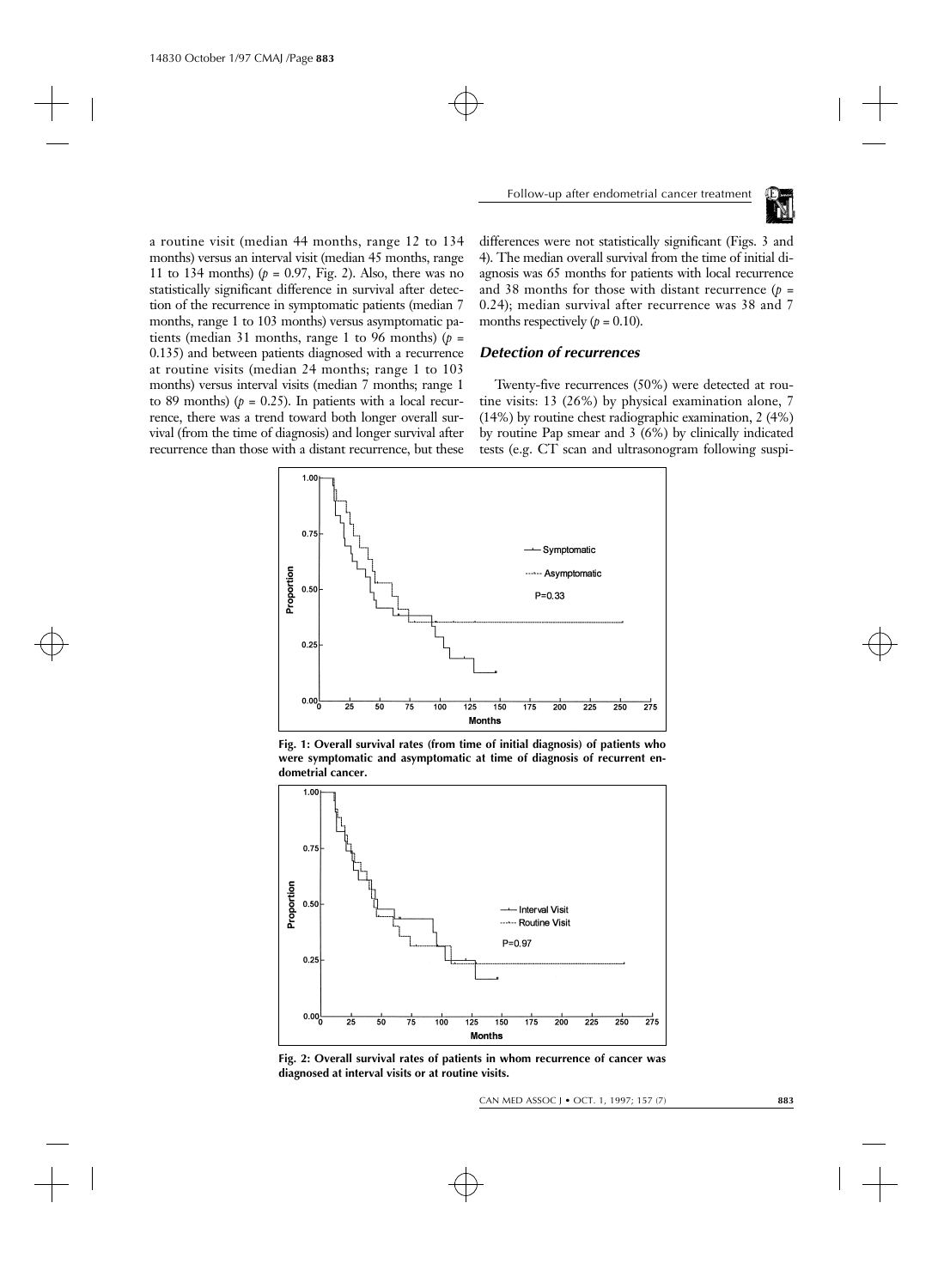

a routine visit (median 44 months, range 12 to 134 months) versus an interval visit (median 45 months, range 11 to 134 months)  $(p = 0.97, Fig. 2)$ . Also, there was no statistically significant difference in survival after detection of the recurrence in symptomatic patients (median 7 months, range 1 to 103 months) versus asymptomatic patients (median 31 months, range 1 to 96 months)  $(p =$ 0.135) and between patients diagnosed with a recurrence at routine visits (median 24 months; range 1 to 103 months) versus interval visits (median 7 months; range 1 to 89 months) ( $p = 0.25$ ). In patients with a local recurrence, there was a trend toward both longer overall survival (from the time of diagnosis) and longer survival after recurrence than those with a distant recurrence, but these

differences were not statistically significant (Figs. 3 and 4). The median overall survival from the time of initial diagnosis was 65 months for patients with local recurrence and 38 months for those with distant recurrence  $(p =$ 0.24); median survival after recurrence was 38 and 7 months respectively  $(p = 0.10)$ .

#### *Detection of recurrences*

Twenty-five recurrences (50%) were detected at routine visits: 13 (26%) by physical examination alone, 7 (14%) by routine chest radiographic examination, 2 (4%) by routine Pap smear and 3 (6%) by clinically indicated tests (e.g. CT scan and ultrasonogram following suspi-



**Fig. 1: Overall survival rates (from time of initial diagnosis) of patients who were symptomatic and asymptomatic at time of diagnosis of recurrent endometrial cancer.**



**Fig. 2: Overall survival rates of patients in whom recurrence of cancer was diagnosed at interval visits or at routine visits.**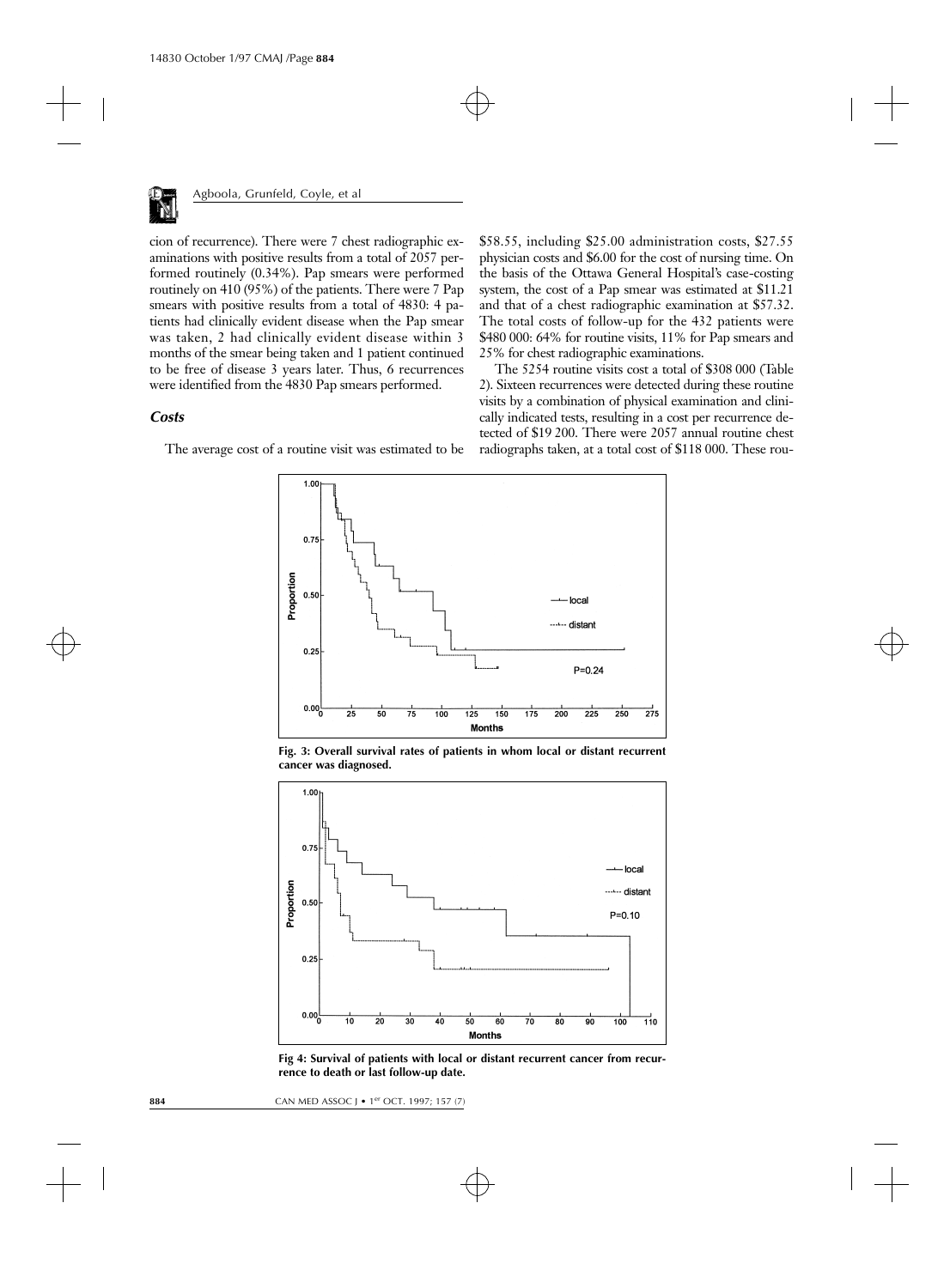

cion of recurrence). There were 7 chest radiographic examinations with positive results from a total of 2057 performed routinely (0.34%). Pap smears were performed routinely on 410 (95%) of the patients. There were 7 Pap smears with positive results from a total of 4830: 4 patients had clinically evident disease when the Pap smear was taken, 2 had clinically evident disease within 3 months of the smear being taken and 1 patient continued to be free of disease 3 years later. Thus, 6 recurrences were identified from the 4830 Pap smears performed.

#### *Costs*

The average cost of a routine visit was estimated to be

\$58.55, including \$25.00 administration costs, \$27.55 physician costs and \$6.00 for the cost of nursing time. On the basis of the Ottawa General Hospital's case-costing system, the cost of a Pap smear was estimated at \$11.21 and that of a chest radiographic examination at \$57.32. The total costs of follow-up for the 432 patients were \$480 000: 64% for routine visits, 11% for Pap smears and 25% for chest radiographic examinations.

The 5254 routine visits cost a total of \$308 000 (Table 2). Sixteen recurrences were detected during these routine visits by a combination of physical examination and clinically indicated tests, resulting in a cost per recurrence detected of \$19 200. There were 2057 annual routine chest radiographs taken, at a total cost of \$118 000. These rou-



**Fig. 3: Overall survival rates of patients in whom local or distant recurrent cancer was diagnosed.**



**Fig 4: Survival of patients with local or distant recurrent cancer from recurrence to death or last follow-up date.**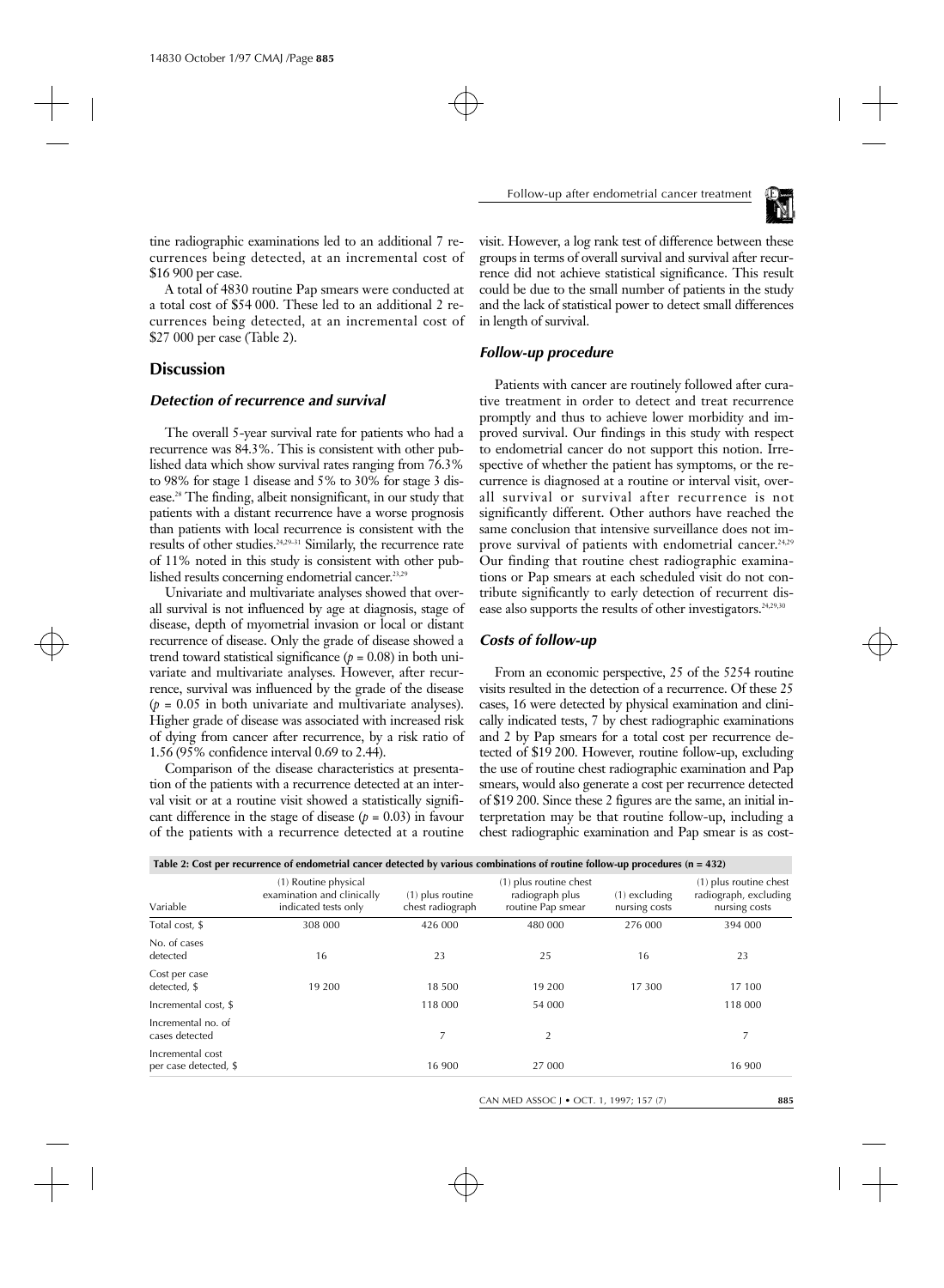

tine radiographic examinations led to an additional 7 recurrences being detected, at an incremental cost of \$16 900 per case.

A total of 4830 routine Pap smears were conducted at a total cost of \$54 000. These led to an additional 2 recurrences being detected, at an incremental cost of \$27 000 per case (Table 2).

# **Discussion**

## *Detection of recurrence and survival*

The overall 5-year survival rate for patients who had a recurrence was 84.3%. This is consistent with other published data which show survival rates ranging from 76.3% to 98% for stage 1 disease and 5% to 30% for stage 3 disease.28 The finding, albeit nonsignificant, in our study that patients with a distant recurrence have a worse prognosis than patients with local recurrence is consistent with the results of other studies.24,29–31 Similarly, the recurrence rate of 11% noted in this study is consistent with other published results concerning endometrial cancer.<sup>23,29</sup>

Univariate and multivariate analyses showed that overall survival is not influenced by age at diagnosis, stage of disease, depth of myometrial invasion or local or distant recurrence of disease. Only the grade of disease showed a trend toward statistical significance  $(p = 0.08)$  in both univariate and multivariate analyses. However, after recurrence, survival was influenced by the grade of the disease  $(p = 0.05$  in both univariate and multivariate analyses). Higher grade of disease was associated with increased risk of dying from cancer after recurrence, by a risk ratio of 1.56 (95% confidence interval 0.69 to 2.44).

Comparison of the disease characteristics at presentation of the patients with a recurrence detected at an interval visit or at a routine visit showed a statistically significant difference in the stage of disease  $(p = 0.03)$  in favour of the patients with a recurrence detected at a routine

visit. However, a log rank test of difference between these groups in terms of overall survival and survival after recurrence did not achieve statistical significance. This result could be due to the small number of patients in the study and the lack of statistical power to detect small differences in length of survival.

## *Follow-up procedure*

Patients with cancer are routinely followed after curative treatment in order to detect and treat recurrence promptly and thus to achieve lower morbidity and improved survival. Our findings in this study with respect to endometrial cancer do not support this notion. Irrespective of whether the patient has symptoms, or the recurrence is diagnosed at a routine or interval visit, overall survival or survival after recurrence is not significantly different. Other authors have reached the same conclusion that intensive surveillance does not improve survival of patients with endometrial cancer.<sup>24,29</sup> Our finding that routine chest radiographic examinations or Pap smears at each scheduled visit do not contribute significantly to early detection of recurrent disease also supports the results of other investigators.<sup>24,29,30</sup>

## *Costs of follow-up*

From an economic perspective, 25 of the 5254 routine visits resulted in the detection of a recurrence. Of these 25 cases, 16 were detected by physical examination and clinically indicated tests, 7 by chest radiographic examinations and 2 by Pap smears for a total cost per recurrence detected of \$19 200. However, routine follow-up, excluding the use of routine chest radiographic examination and Pap smears, would also generate a cost per recurrence detected of \$19 200. Since these 2 figures are the same, an initial interpretation may be that routine follow-up, including a chest radiographic examination and Pap smear is as cost-

| Table 2: Cost per recurrence of endometrial cancer detected by various combinations of routine follow-up procedures $(n = 432)$ |                                                                            |                                      |                                                                |                                  |                                                                  |  |  |  |
|---------------------------------------------------------------------------------------------------------------------------------|----------------------------------------------------------------------------|--------------------------------------|----------------------------------------------------------------|----------------------------------|------------------------------------------------------------------|--|--|--|
| Variable                                                                                                                        | (1) Routine physical<br>examination and clinically<br>indicated tests only | (1) plus routine<br>chest radiograph | (1) plus routine chest<br>radiograph plus<br>routine Pap smear | $(1)$ excluding<br>nursing costs | (1) plus routine chest<br>radiograph, excluding<br>nursing costs |  |  |  |
| Total cost, \$                                                                                                                  | 308 000                                                                    | 426 000                              | 480 000                                                        | 276 000                          | 394 000                                                          |  |  |  |
| No. of cases<br>detected                                                                                                        | 16                                                                         | 23                                   | 25                                                             | 16                               | 23                                                               |  |  |  |
| Cost per case<br>detected, \$                                                                                                   | 19 200                                                                     | 18 500                               | 19 200                                                         | 17 300                           | 17 100                                                           |  |  |  |
| Incremental cost, \$                                                                                                            |                                                                            | 118 000                              | 54 000                                                         |                                  | 118 000                                                          |  |  |  |
| Incremental no. of<br>cases detected                                                                                            |                                                                            |                                      | 2                                                              |                                  |                                                                  |  |  |  |
| Incremental cost<br>per case detected, \$                                                                                       |                                                                            | 16 900                               | 27 000                                                         |                                  | 16 900                                                           |  |  |  |